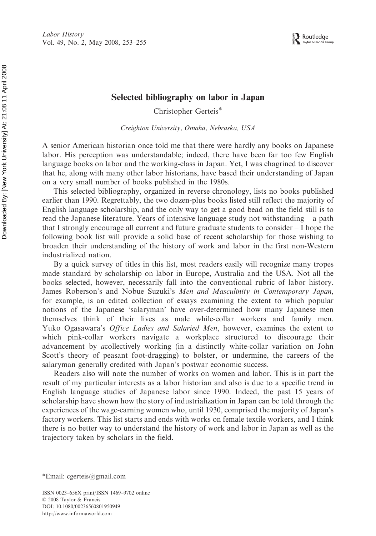## Selected bibliography on labor in Japan

Christopher Gerteis\*

Creighton University, Omaha, Nebraska, USA

A senior American historian once told me that there were hardly any books on Japanese labor. His perception was understandable; indeed, there have been far too few English language books on labor and the working-class in Japan. Yet, I was chagrined to discover that he, along with many other labor historians, have based their understanding of Japan on a very small number of books published in the 1980s.

This selected bibliography, organized in reverse chronology, lists no books published earlier than 1990. Regrettably, the two dozen-plus books listed still reflect the majority of English language scholarship, and the only way to get a good bead on the field still is to read the Japanese literature. Years of intensive language study not withstanding – a path that I strongly encourage all current and future graduate students to consider – I hope the following book list will provide a solid base of recent scholarship for those wishing to broaden their understanding of the history of work and labor in the first non-Western industrialized nation.

By a quick survey of titles in this list, most readers easily will recognize many tropes made standard by scholarship on labor in Europe, Australia and the USA. Not all the books selected, however, necessarily fall into the conventional rubric of labor history. James Roberson's and Nobue Suzuki's Men and Masculinity in Contemporary Japan, for example, is an edited collection of essays examining the extent to which popular notions of the Japanese 'salaryman' have over-determined how many Japanese men themselves think of their lives as male while-collar workers and family men. Yuko Ogasawara's Office Ladies and Salaried Men, however, examines the extent to which pink-collar workers navigate a workplace structured to discourage their advancement by acollectively working (in a distinctly white-collar variation on John Scott's theory of peasant foot-dragging) to bolster, or undermine, the careers of the salaryman generally credited with Japan's postwar economic success.

Readers also will note the number of works on women and labor. This is in part the result of my particular interests as a labor historian and also is due to a specific trend in English language studies of Japanese labor since 1990. Indeed, the past 15 years of scholarship have shown how the story of industrialization in Japan can be told through the experiences of the wage-earning women who, until 1930, comprised the majority of Japan's factory workers. This list starts and ends with works on female textile workers, and I think there is no better way to understand the history of work and labor in Japan as well as the trajectory taken by scholars in the field.

<sup>\*</sup>Email: cgerteis@gmail.com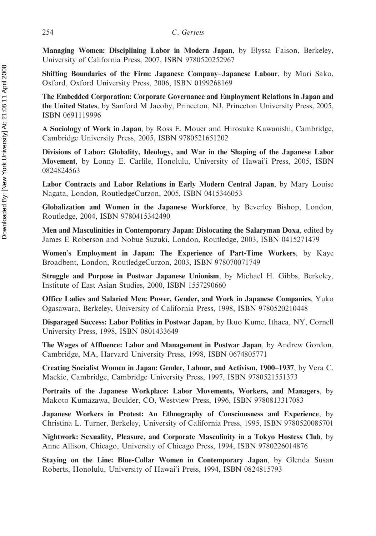Managing Women: Disciplining Labor in Modern Japan, by Elyssa Faison, Berkeley, University of California Press, 2007, ISBN 9780520252967

Shifting Boundaries of the Firm: Japanese Company–Japanese Labour, by Mari Sako, Oxford, Oxford University Press, 2006, ISBN 0199268169

The Embedded Corporation: Corporate Governance and Employment Relations in Japan and the United States, by Sanford M Jacoby, Princeton, NJ, Princeton University Press, 2005, ISBN 0691119996

A Sociology of Work in Japan, by Ross E. Mouer and Hirosuke Kawanishi, Cambridge, Cambridge University Press, 2005, ISBN 9780521651202

Divisions of Labor: Globality, Ideology, and War in the Shaping of the Japanese Labor Movement, by Lonny E. Carlile, Honolulu, University of Hawai'i Press, 2005, ISBN 0824824563

Labor Contracts and Labor Relations in Early Modern Central Japan, by Mary Louise Nagata, London, RoutledgeCurzon, 2005, ISBN 0415346053

Globalization and Women in the Japanese Workforce, by Beverley Bishop, London, Routledge, 2004, ISBN 9780415342490

Men and Masculinities in Contemporary Japan: Dislocating the Salaryman Doxa, edited by James E Roberson and Nobue Suzuki, London, Routledge, 2003, ISBN 0415271479

Women's Employment in Japan: The Experience of Part-Time Workers, by Kaye Broadbent, London, RoutledgeCurzon, 2003, ISBN 978070071749

Struggle and Purpose in Postwar Japanese Unionism, by Michael H. Gibbs, Berkeley, Institute of East Asian Studies, 2000, ISBN 1557290660

Office Ladies and Salaried Men: Power, Gender, and Work in Japanese Companies, Yuko Ogasawara, Berkeley, University of California Press, 1998, ISBN 9780520210448

Disparaged Success: Labor Politics in Postwar Japan, by Ikuo Kume, Ithaca, NY, Cornell University Press, 1998, ISBN 0801433649

The Wages of Affluence: Labor and Management in Postwar Japan, by Andrew Gordon, Cambridge, MA, Harvard University Press, 1998, ISBN 0674805771

Creating Socialist Women in Japan: Gender, Labour, and Activism, 1900–1937, by Vera C. Mackie, Cambridge, Cambridge University Press, 1997, ISBN 9780521551373

Portraits of the Japanese Workplace: Labor Movements, Workers, and Managers, by Makoto Kumazawa, Boulder, CO, Westview Press, 1996, ISBN 9780813317083

Japanese Workers in Protest: An Ethnography of Consciousness and Experience, by Christina L. Turner, Berkeley, University of California Press, 1995, ISBN 9780520085701

Nightwork: Sexuality, Pleasure, and Corporate Masculinity in a Tokyo Hostess Club, by Anne Allison, Chicago, University of Chicago Press, 1994, ISBN 9780226014876

Staying on the Line: Blue-Collar Women in Contemporary Japan, by Glenda Susan Roberts, Honolulu, University of Hawai'i Press, 1994, ISBN 0824815793